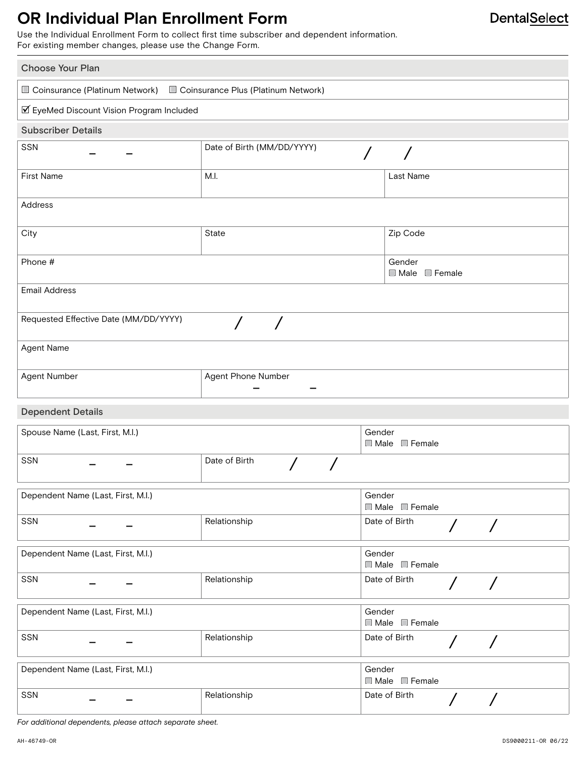### **OR Individual Plan Enrollment Form**

Use the Individual Enrollment Form to collect first time subscriber and dependent information. For existing member changes, please use the Change Form.

| Choose Your Plan                                                       |                            |                                               |  |  |
|------------------------------------------------------------------------|----------------------------|-----------------------------------------------|--|--|
| □ Coinsurance (Platinum Network) □ Coinsurance Plus (Platinum Network) |                            |                                               |  |  |
| ☑ EyeMed Discount Vision Program Included                              |                            |                                               |  |  |
| <b>Subscriber Details</b>                                              |                            |                                               |  |  |
| SSN                                                                    | Date of Birth (MM/DD/YYYY) | $\sqrt{2}$                                    |  |  |
| <b>First Name</b>                                                      | M.I.                       | Last Name                                     |  |  |
| Address                                                                |                            |                                               |  |  |
| City                                                                   | State                      | Zip Code                                      |  |  |
| Phone #                                                                |                            | Gender<br>■ Male ■ Female                     |  |  |
| <b>Email Address</b>                                                   |                            |                                               |  |  |
| Requested Effective Date (MM/DD/YYYY)                                  |                            |                                               |  |  |
| Agent Name                                                             |                            |                                               |  |  |
| Agent Number                                                           | Agent Phone Number         |                                               |  |  |
| <b>Dependent Details</b>                                               |                            |                                               |  |  |
| Spouse Name (Last, First, M.I.)                                        |                            | Gender<br>$\Box$ Male $\Box$ Female           |  |  |
| SSN                                                                    | Date of Birth              |                                               |  |  |
| Dependent Name (Last, First, M.I.)                                     |                            | Gender<br>Male Female                         |  |  |
| <b>SSN</b>                                                             | Relationship               | Date of Birth<br>$\bigg)$<br>$\sqrt{2}$       |  |  |
| Dependent Name (Last, First, M.I.)                                     |                            | Gender<br>$\Box$ Male $\Box$ Female           |  |  |
| <b>SSN</b>                                                             | Relationship               | Date of Birth<br>$\overline{ }$<br>$\sqrt{2}$ |  |  |
| Dependent Name (Last, First, M.I.)                                     |                            | Gender<br>Male Female                         |  |  |
| SSN                                                                    | Relationship               | Date of Birth<br>$\bigg)$<br>$\sqrt{2}$       |  |  |
| Dependent Name (Last, First, M.I.)                                     |                            | Gender<br>Male Female                         |  |  |
| SSN                                                                    | Relationship               | Date of Birth                                 |  |  |

*For additional dependents, please attach separate sheet.*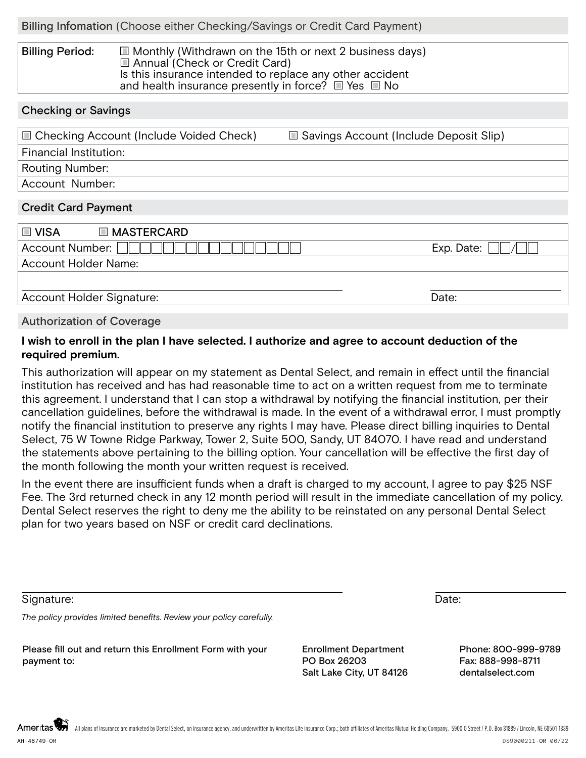#### Billing Period:  $\Box$  Monthly (Withdrawn on the 15th or next 2 business days) Annual (Check or Credit Card) Is this insurance intended to replace any other accident and health insurance presently in force?  $\Box$  Yes  $\Box$  No

### Checking or Savings

| $\Box$ Checking Account (Include Voided Check) | □ Savings Account (Include Deposit Slip) |
|------------------------------------------------|------------------------------------------|
| Financial Institution:                         |                                          |
| Routing Number:                                |                                          |
| Account Number:                                |                                          |

#### Credit Card Payment

| I ⊡ VISA<br><b>INASTERCARD</b> |            |
|--------------------------------|------------|
| Account Number:                | Exp. Date: |
| Account Holder Name:           |            |
|                                |            |
| Account Holder Signature:      | Date:      |

#### Authorization of Coverage

### **I wish to enroll in the plan I have selected. I authorize and agree to account deduction of the required premium.**

This authorization will appear on my statement as Dental Select, and remain in effect until the financial institution has received and has had reasonable time to act on a written request from me to terminate this agreement. I understand that I can stop a withdrawal by notifying the financial institution, per their cancellation guidelines, before the withdrawal is made. In the event of a withdrawal error, I must promptly notify the financial institution to preserve any rights I may have. Please direct billing inquiries to Dental Select, 75 W Towne Ridge Parkway, Tower 2, Suite 500, Sandy, UT 84070. I have read and understand the statements above pertaining to the billing option. Your cancellation will be effective the first day of the month following the month your written request is received.

In the event there are insufficient funds when a draft is charged to my account, I agree to pay \$25 NSF Fee. The 3rd returned check in any 12 month period will result in the immediate cancellation of my policy. Dental Select reserves the right to deny me the ability to be reinstated on any personal Dental Select plan for two years based on NSF or credit card declinations.

Signature: **Date:** Date: **Date: Date: Date: Date: Date: Date: Date: Date: Date: Date: Date: Date: Date: Date: Date: Date: Date: Date: Date: Date: Date: Date: Date: Date: Date** 

*The policy provides limited benefits. Review your policy carefully.*

Please fill out and return this Enrollment Form with your payment to:

Enrollment Department PO Box 26203 Salt Lake City, UT 84126

Phone: 800-999-9789 Fax: 888-998-8711 dentalselect.com

Ameritas All plans of insurance are marketed by Dental Select, an insurance agency, and underwritten by Ameritas Life Insurance Corp.; both affiliates of Ameritas Mutual Holding Company. 5900 O Street / P.O. Box 81889 / Lincoln, NE AH-46749-OR DS9000211-OR 06/22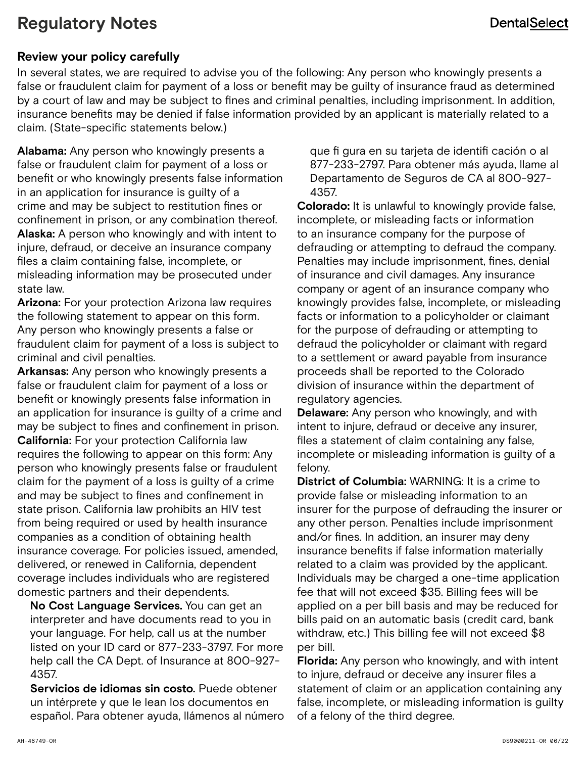## **Regulatory Notes**

### **Review your policy carefully**

In several states, we are required to advise you of the following: Any person who knowingly presents a false or fraudulent claim for payment of a loss or benefit may be guilty of insurance fraud as determined by a court of law and may be subject to fines and criminal penalties, including imprisonment. In addition, insurance benefits may be denied if false information provided by an applicant is materially related to a claim. (State-specific statements below.)

**Alabama:** Any person who knowingly presents a false or fraudulent claim for payment of a loss or benefit or who knowingly presents false information in an application for insurance is guilty of a crime and may be subject to restitution fines or confinement in prison, or any combination thereof. **Alaska:** A person who knowingly and with intent to injure, defraud, or deceive an insurance company files a claim containing false, incomplete, or misleading information may be prosecuted under state law.

**Arizona:** For your protection Arizona law requires the following statement to appear on this form. Any person who knowingly presents a false or fraudulent claim for payment of a loss is subject to criminal and civil penalties.

**Arkansas:** Any person who knowingly presents a false or fraudulent claim for payment of a loss or benefit or knowingly presents false information in an application for insurance is guilty of a crime and may be subject to fines and confinement in prison. **California:** For your protection California law requires the following to appear on this form: Any person who knowingly presents false or fraudulent claim for the payment of a loss is guilty of a crime and may be subject to fines and confinement in state prison. California law prohibits an HIV test from being required or used by health insurance companies as a condition of obtaining health insurance coverage. For policies issued, amended, delivered, or renewed in California, dependent coverage includes individuals who are registered domestic partners and their dependents.

**No Cost Language Services.** You can get an interpreter and have documents read to you in your language. For help, call us at the number listed on your ID card or 877-233-3797. For more help call the CA Dept. of Insurance at 800-927- 4357.

**Servicios de idiomas sin costo.** Puede obtener un intérprete y que le lean los documentos en español. Para obtener ayuda, llámenos al número que fi gura en su tarjeta de identifi cación o al 877-233-2797. Para obtener más ayuda, llame al Departamento de Seguros de CA al 800-927- 4357.

**Colorado:** It is unlawful to knowingly provide false, incomplete, or misleading facts or information to an insurance company for the purpose of defrauding or attempting to defraud the company. Penalties may include imprisonment, fines, denial of insurance and civil damages. Any insurance company or agent of an insurance company who knowingly provides false, incomplete, or misleading facts or information to a policyholder or claimant for the purpose of defrauding or attempting to defraud the policyholder or claimant with regard to a settlement or award payable from insurance proceeds shall be reported to the Colorado division of insurance within the department of regulatory agencies.

**Delaware:** Any person who knowingly, and with intent to injure, defraud or deceive any insurer, files a statement of claim containing any false, incomplete or misleading information is guilty of a felony.

**District of Columbia:** WARNING: It is a crime to provide false or misleading information to an insurer for the purpose of defrauding the insurer or any other person. Penalties include imprisonment and/or fines. In addition, an insurer may deny insurance benefits if false information materially related to a claim was provided by the applicant. Individuals may be charged a one-time application fee that will not exceed \$35. Billing fees will be applied on a per bill basis and may be reduced for bills paid on an automatic basis (credit card, bank withdraw, etc.) This billing fee will not exceed \$8 per bill.

**Florida:** Any person who knowingly, and with intent to injure, defraud or deceive any insurer files a statement of claim or an application containing any false, incomplete, or misleading information is guilty of a felony of the third degree.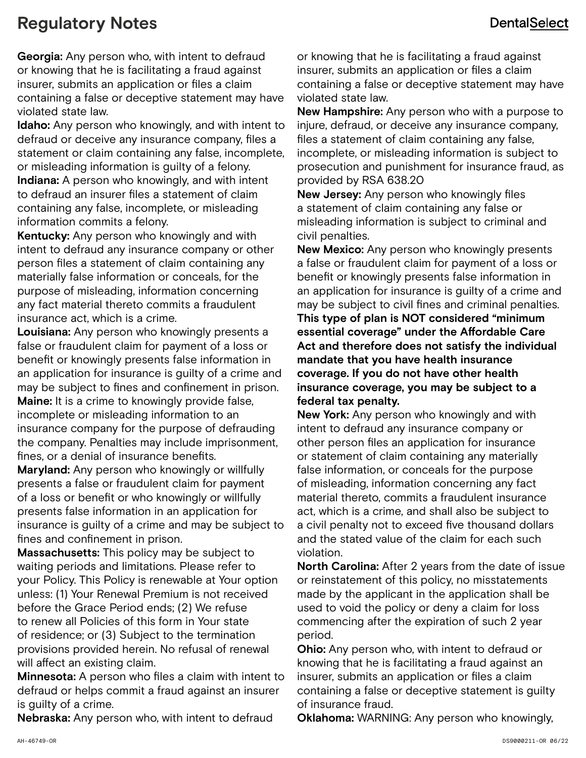# **Regulatory Notes**

**Georgia:** Any person who, with intent to defraud or knowing that he is facilitating a fraud against insurer, submits an application or files a claim containing a false or deceptive statement may have violated state law.

**Idaho:** Any person who knowingly, and with intent to defraud or deceive any insurance company, files a statement or claim containing any false, incomplete, or misleading information is guilty of a felony. **Indiana:** A person who knowingly, and with intent to defraud an insurer files a statement of claim containing any false, incomplete, or misleading information commits a felony.

**Kentucky:** Any person who knowingly and with intent to defraud any insurance company or other person files a statement of claim containing any materially false information or conceals, for the purpose of misleading, information concerning any fact material thereto commits a fraudulent insurance act, which is a crime.

**Louisiana:** Any person who knowingly presents a false or fraudulent claim for payment of a loss or benefit or knowingly presents false information in an application for insurance is guilty of a crime and may be subject to fines and confinement in prison. **Maine:** It is a crime to knowingly provide false, incomplete or misleading information to an insurance company for the purpose of defrauding the company. Penalties may include imprisonment, fines, or a denial of insurance benefits.

**Maryland:** Any person who knowingly or willfully presents a false or fraudulent claim for payment of a loss or benefit or who knowingly or willfully presents false information in an application for insurance is guilty of a crime and may be subject to fines and confinement in prison.

**Massachusetts:** This policy may be subject to waiting periods and limitations. Please refer to your Policy. This Policy is renewable at Your option unless: (1) Your Renewal Premium is not received before the Grace Period ends; (2) We refuse to renew all Policies of this form in Your state of residence; or (3) Subject to the termination provisions provided herein. No refusal of renewal will affect an existing claim.

**Minnesota:** A person who files a claim with intent to defraud or helps commit a fraud against an insurer is guilty of a crime.

**Nebraska:** Any person who, with intent to defraud

or knowing that he is facilitating a fraud against insurer, submits an application or files a claim containing a false or deceptive statement may have violated state law.

**New Hampshire:** Any person who with a purpose to injure, defraud, or deceive any insurance company, files a statement of claim containing any false, incomplete, or misleading information is subject to prosecution and punishment for insurance fraud, as provided by RSA 638.20

**New Jersey:** Any person who knowingly files a statement of claim containing any false or misleading information is subject to criminal and civil penalties.

**New Mexico:** Any person who knowingly presents a false or fraudulent claim for payment of a loss or benefit or knowingly presents false information in an application for insurance is guilty of a crime and may be subject to civil fines and criminal penalties. **This type of plan is NOT considered "minimum essential coverage" under the Affordable Care Act and therefore does not satisfy the individual mandate that you have health insurance coverage. If you do not have other health insurance coverage, you may be subject to a federal tax penalty.**

**New York:** Any person who knowingly and with intent to defraud any insurance company or other person files an application for insurance or statement of claim containing any materially false information, or conceals for the purpose of misleading, information concerning any fact material thereto, commits a fraudulent insurance act, which is a crime, and shall also be subject to a civil penalty not to exceed five thousand dollars and the stated value of the claim for each such violation.

**North Carolina:** After 2 years from the date of issue or reinstatement of this policy, no misstatements made by the applicant in the application shall be used to void the policy or deny a claim for loss commencing after the expiration of such 2 year period.

**Ohio:** Any person who, with intent to defraud or knowing that he is facilitating a fraud against an insurer, submits an application or files a claim containing a false or deceptive statement is guilty of insurance fraud.

**Oklahoma:** WARNING: Any person who knowingly,